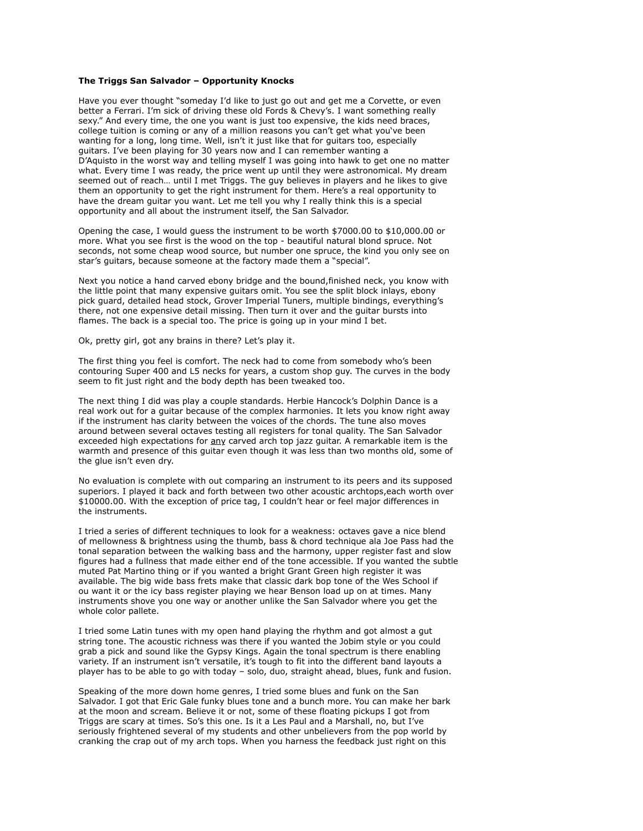## **The Triggs San Salvador – Opportunity Knocks**

Have you ever thought "someday I'd like to just go out and get me a Corvette, or even better a Ferrari. I'm sick of driving these old Fords & Chevy's. I want something really sexy." And every time, the one you want is just too expensive, the kids need braces, college tuition is coming or any of a million reasons you can't get what you've been wanting for a long, long time. Well, isn't it just like that for guitars too, especially guitars. I've been playing for 30 years now and I can remember wanting a D'Aquisto in the worst way and telling myself I was going into hawk to get one no matter what. Every time I was ready, the price went up until they were astronomical. My dream seemed out of reach… until I met Triggs. The guy believes in players and he likes to give them an opportunity to get the right instrument for them. Here's a real opportunity to have the dream guitar you want. Let me tell you why I really think this is a special opportunity and all about the instrument itself, the San Salvador.

Opening the case, I would guess the instrument to be worth \$7000.00 to \$10,000.00 or more. What you see first is the wood on the top - beautiful natural blond spruce. Not seconds, not some cheap wood source, but number one spruce, the kind you only see on star's guitars, because someone at the factory made them a "special".

Next you notice a hand carved ebony bridge and the bound,finished neck, you know with the little point that many expensive guitars omit. You see the split block inlays, ebony pick guard, detailed head stock, Grover Imperial Tuners, multiple bindings, everything's there, not one expensive detail missing. Then turn it over and the guitar bursts into flames. The back is a special too. The price is going up in your mind I bet.

Ok, pretty girl, got any brains in there? Let's play it.

The first thing you feel is comfort. The neck had to come from somebody who's been contouring Super 400 and L5 necks for years, a custom shop guy. The curves in the body seem to fit just right and the body depth has been tweaked too.

The next thing I did was play a couple standards. Herbie Hancock's Dolphin Dance is a real work out for a guitar because of the complex harmonies. It lets you know right away if the instrument has clarity between the voices of the chords. The tune also moves around between several octaves testing all registers for tonal quality. The San Salvador exceeded high expectations for any carved arch top jazz guitar. A remarkable item is the warmth and presence of this guitar even though it was less than two months old, some of the glue isn't even dry.

No evaluation is complete with out comparing an instrument to its peers and its supposed superiors. I played it back and forth between two other acoustic archtops,each worth over \$10000.00. With the exception of price tag, I couldn't hear or feel major differences in the instruments.

I tried a series of different techniques to look for a weakness: octaves gave a nice blend of mellowness & brightness using the thumb, bass & chord technique ala Joe Pass had the tonal separation between the walking bass and the harmony, upper register fast and slow figures had a fullness that made either end of the tone accessible. If you wanted the subtle muted Pat Martino thing or if you wanted a bright Grant Green high register it was available. The big wide bass frets make that classic dark bop tone of the Wes School if ou want it or the icy bass register playing we hear Benson load up on at times. Many instruments shove you one way or another unlike the San Salvador where you get the whole color pallete.

I tried some Latin tunes with my open hand playing the rhythm and got almost a gut string tone. The acoustic richness was there if you wanted the Jobim style or you could grab a pick and sound like the Gypsy Kings. Again the tonal spectrum is there enabling variety. If an instrument isn't versatile, it's tough to fit into the different band layouts a player has to be able to go with today – solo, duo, straight ahead, blues, funk and fusion.

Speaking of the more down home genres, I tried some blues and funk on the San Salvador. I got that Eric Gale funky blues tone and a bunch more. You can make her bark at the moon and scream. Believe it or not, some of these floating pickups I got from Triggs are scary at times. So's this one. Is it a Les Paul and a Marshall, no, but I've seriously frightened several of my students and other unbelievers from the pop world by cranking the crap out of my arch tops. When you harness the feedback just right on this